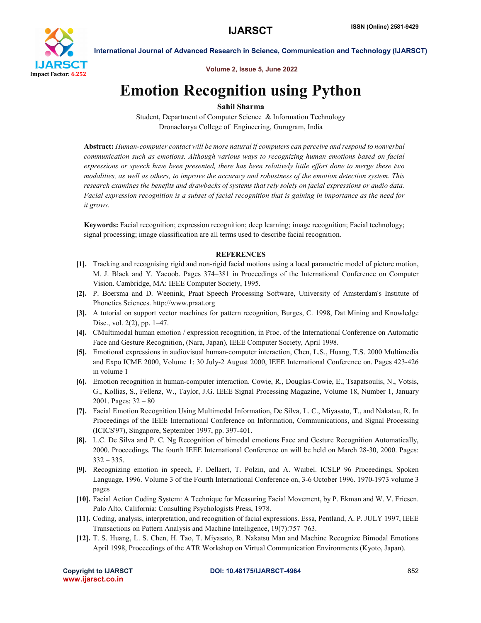

International Journal of Advanced Research in Science, Communication and Technology (IJARSCT)

Volume 2, Issue 5, June 2022

# Emotion Recognition using Python

## Sahil Sharma

Student, Department of Computer Science & Information Technology Dronacharya College of Engineering, Gurugram, India

Abstract: *Human-computer contact will be more natural if computers can perceive and respond to nonverbal communication such as emotions. Although various ways to recognizing human emotions based on facial expressions or speech have been presented, there has been relatively little effort done to merge these two modalities, as well as others, to improve the accuracy and robustness of the emotion detection system. This research examines the benefits and drawbacks of systems that rely solely on facial expressions or audio data. Facial expression recognition is a subset of facial recognition that is gaining in importance as the need for it grows.*

Keywords: Facial recognition; expression recognition; deep learning; image recognition; Facial technology; signal processing; image classification are all terms used to describe facial recognition.

### **REFERENCES**

- [1]. Tracking and recognising rigid and non-rigid facial motions using a local parametric model of picture motion, M. J. Black and Y. Yacoob. Pages 374–381 in Proceedings of the International Conference on Computer Vision. Cambridge, MA: IEEE Computer Society, 1995.
- [2]. P. Boersma and D. Weenink, Praat Speech Processing Software, University of Amsterdam's Institute of Phonetics Sciences. http://www.praat.org
- [3]. A tutorial on support vector machines for pattern recognition, Burges, C. 1998, Dat Mining and Knowledge Disc., vol. 2(2), pp. 1–47.
- [4]. CMultimodal human emotion / expression recognition, in Proc. of the International Conference on Automatic Face and Gesture Recognition, (Nara, Japan), IEEE Computer Society, April 1998.
- [5]. Emotional expressions in audiovisual human-computer interaction, Chen, L.S., Huang, T.S. 2000 Multimedia and Expo ICME 2000, Volume 1: 30 July-2 August 2000, IEEE International Conference on. Pages 423-426 in volume 1
- [6]. Emotion recognition in human-computer interaction. Cowie, R., Douglas-Cowie, E., Tsapatsoulis, N., Votsis, G., Kollias, S., Fellenz, W., Taylor, J.G. IEEE Signal Processing Magazine, Volume 18, Number 1, January 2001. Pages: 32 – 80
- [7]. Facial Emotion Recognition Using Multimodal Information, De Silva, L. C., Miyasato, T., and Nakatsu, R. In Proceedings of the IEEE International Conference on Information, Communications, and Signal Processing (ICICS'97), Singapore, September 1997, pp. 397-401.
- [8]. L.C. De Silva and P. C. Ng Recognition of bimodal emotions Face and Gesture Recognition Automatically, 2000. Proceedings. The fourth IEEE International Conference on will be held on March 28-30, 2000. Pages: 332 – 335.
- [9]. Recognizing emotion in speech, F. Dellaert, T. Polzin, and A. Waibel. ICSLP 96 Proceedings, Spoken Language, 1996. Volume 3 of the Fourth International Conference on, 3-6 October 1996. 1970-1973 volume 3 pages
- [10]. Facial Action Coding System: A Technique for Measuring Facial Movement, by P. Ekman and W. V. Friesen. Palo Alto, California: Consulting Psychologists Press, 1978.
- [11]. Coding, analysis, interpretation, and recognition of facial expressions. Essa, Pentland, A. P. JULY 1997, IEEE Transactions on Pattern Analysis and Machine Intelligence, 19(7):757–763.
- [12]. T. S. Huang, L. S. Chen, H. Tao, T. Miyasato, R. Nakatsu Man and Machine Recognize Bimodal Emotions April 1998, Proceedings of the ATR Workshop on Virtual Communication Environments (Kyoto, Japan).